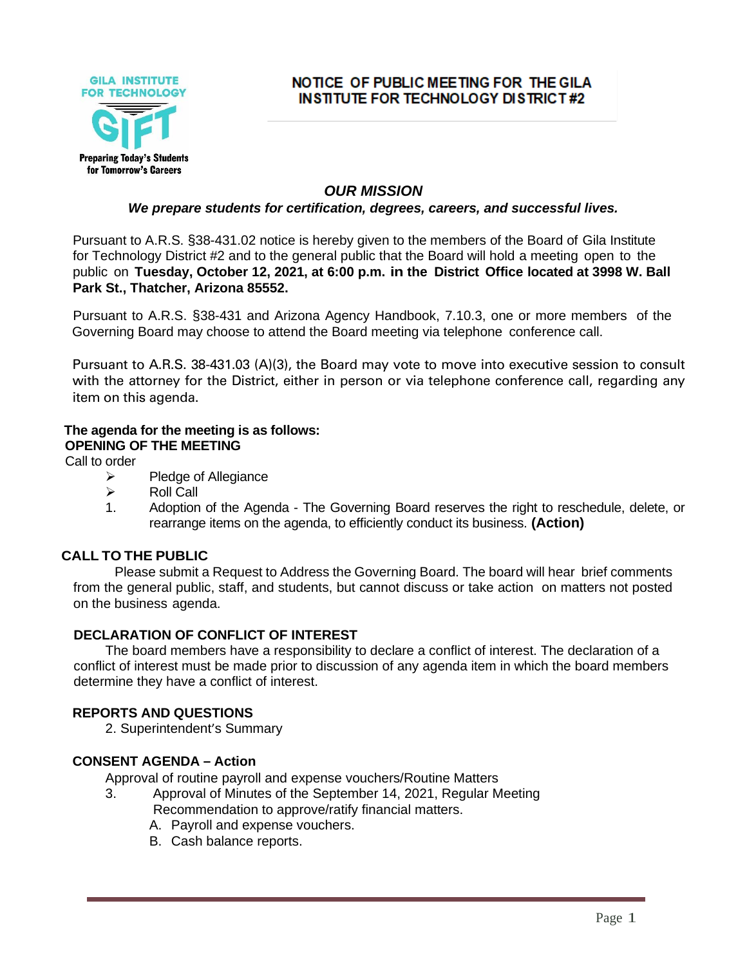

## NOTICE OF PUBLIC MEETING FOR THE GILA **INSTITUTE FOR TECHNOLOGY DISTRICT#2**

## *OUR MISSION*

#### *We prepare students for certification, degrees, careers, and successful lives.*

Pursuant to A.R.S. §38-431.02 notice is hereby given to the members of the Board of Gila Institute for Technology District #2 and to the general public that the Board will hold a meeting open to the public on **Tuesday, October 12, 2021, at 6:00 p.m. in the District Office located at 3998 W. Ball Park St., Thatcher, Arizona 85552.**

Pursuant to A.R.S. §38-431 and Arizona Agency Handbook, 7.10.3, one or more members of the Governing Board may choose to attend the Board meeting via telephone conference call.

Pursuant to A.R.S. 38-431.03 (A)(3), the Board may vote to move into executive session to consult with the attorney for the District, either in person or via telephone conference call, regarding any item on this agenda.

#### **The agenda for the meeting is as follows: OPENING OF THE MEETING**

Call to order

- ➢ Pledge of Allegiance
- $\triangleright$  Roll Call
- 1. Adoption of the Agenda The Governing Board reserves the right to reschedule, delete, or rearrange items on the agenda, to efficiently conduct its business. **(Action)**

## **CALL TO THE PUBLIC**

Please submit a Request to Address the Governing Board. The board will hear brief comments from the general public, staff, and students, but cannot discuss or take action on matters not posted on the business agenda.

#### **DECLARATION OF CONFLICT OF INTEREST**

The board members have a responsibility to declare a conflict of interest. The declaration of a conflict of interest must be made prior to discussion of any agenda item in which the board members determine they have a conflict of interest.

#### **REPORTS AND QUESTIONS**

2. Superintendent's Summary

#### **CONSENT AGENDA – Action**

Approval of routine payroll and expense vouchers/Routine Matters

- 3. Approval of Minutes of the September 14, 2021, Regular Meeting Recommendation to approve/ratify financial matters.
	- A. Payroll and expense vouchers.
	- B. Cash balance reports.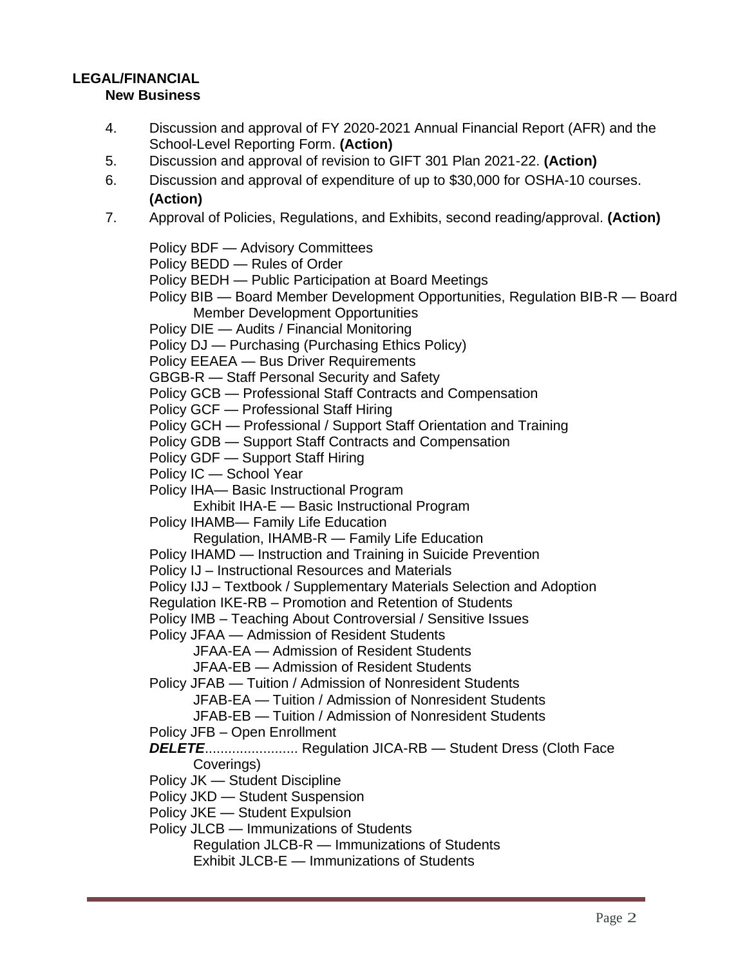# **LEGAL/FINANCIAL**

## **New Business**

- 4. Discussion and approval of FY 2020-2021 Annual Financial Report (AFR) and the School-Level Reporting Form. **(Action)**
- 5. Discussion and approval of revision to GIFT 301 Plan 2021-22. **(Action)**
- 6. Discussion and approval of expenditure of up to \$30,000 for OSHA-10 courses. **(Action)**
- 7. Approval of Policies, Regulations, and Exhibits, second reading/approval. **(Action)**
	- Policy BDF Advisory Committees
	- Policy BEDD Rules of Order
	- Policy BEDH Public Participation at Board Meetings
	- Policy BIB Board Member Development Opportunities, Regulation BIB-R Board Member Development Opportunities
	- Policy DIE Audits / Financial Monitoring
	- Policy DJ Purchasing (Purchasing Ethics Policy)
	- Policy EEAEA Bus Driver Requirements
	- GBGB-R Staff Personal Security and Safety
	- Policy GCB Professional Staff Contracts and Compensation
	- Policy GCF Professional Staff Hiring
	- Policy GCH Professional / Support Staff Orientation and Training
	- Policy GDB Support Staff Contracts and Compensation
	- Policy GDF Support Staff Hiring
	- Policy IC School Year
	- Policy IHA— Basic Instructional Program
		- Exhibit IHA-E Basic Instructional Program
	- Policy IHAMB— Family Life Education
		- Regulation, IHAMB-R Family Life Education
	- Policy IHAMD Instruction and Training in Suicide Prevention
	- Policy IJ Instructional Resources and Materials
	- Policy IJJ Textbook / Supplementary Materials Selection and Adoption
	- Regulation IKE-RB Promotion and Retention of Students
	- Policy IMB Teaching About Controversial / Sensitive Issues
	- Policy JFAA Admission of Resident Students
		- JFAA-EA Admission of Resident Students
		- JFAA-EB Admission of Resident Students
	- Policy JFAB Tuition / Admission of Nonresident Students
		- JFAB-EA Tuition / Admission of Nonresident Students
		- JFAB-EB Tuition / Admission of Nonresident Students
	- Policy JFB Open Enrollment
	- *DELETE*........................ Regulation JICA-RB Student Dress (Cloth Face Coverings)
	- Policy JK Student Discipline
	- Policy JKD Student Suspension
	- Policy JKE Student Expulsion
	- Policy JLCB Immunizations of Students
		- Regulation JLCB-R Immunizations of Students
		- Exhibit JLCB-E Immunizations of Students